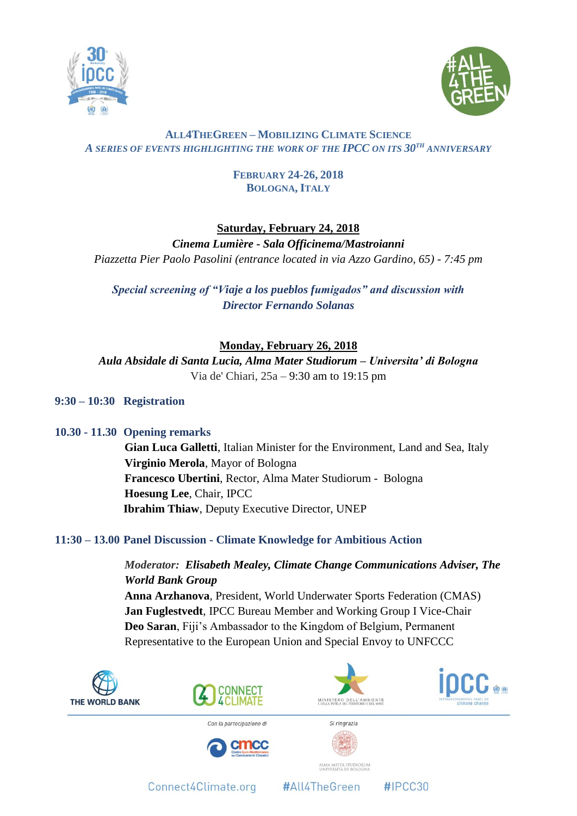



## **ALL4THEGREEN – MOBILIZING CLIMATE SCIENCE** *A SERIES OF EVENTS HIGHLIGHTING THE WORK OF THE IPCC ON ITS 30TH ANNIVERSARY*

## **FEBRUARY 24-26, 2018 BOLOGNA, ITALY**

# **Saturday, February 24, 2018**

*Cinema Lumière - Sala Officinema/Mastroianni Piazzetta Pier Paolo Pasolini (entrance located in via Azzo Gardino, 65) - 7:45 pm*

*Special screening of "Viaje a los pueblos fumigados" and discussion with Director Fernando Solanas*

# **Monday, February 26, 2018**

*Aula Absidale di Santa Lucia, Alma Mater Studiorum – Universita' di Bologna* Via de' Chiari, 25a – 9:30 am to 19:15 pm

## **9:30 – 10:30 Registration**

## **10.30 - 11.30 Opening remarks**

**Gian Luca Galletti**, Italian Minister for the Environment, Land and Sea, Italy **Virginio Merola**, Mayor of Bologna **Francesco Ubertini**, Rector, Alma Mater Studiorum - Bologna **Hoesung Lee**, Chair, IPCC **Ibrahim Thiaw**, Deputy Executive Director, UNEP

## **11:30 – 13.00 Panel Discussion - Climate Knowledge for Ambitious Action**

*Moderator: Elisabeth Mealey, Climate Change Communications Adviser, The World Bank Group* **Anna Arzhanova**, President, World Underwater Sports Federation (CMAS) **Jan Fuglestvedt**, IPCC Bureau Member and Working Group I Vice-Chair **Deo Saran**, Fiji's Ambassador to the Kingdom of Belgium, Permanent Representative to the European Union and Special Envoy to UNFCCC